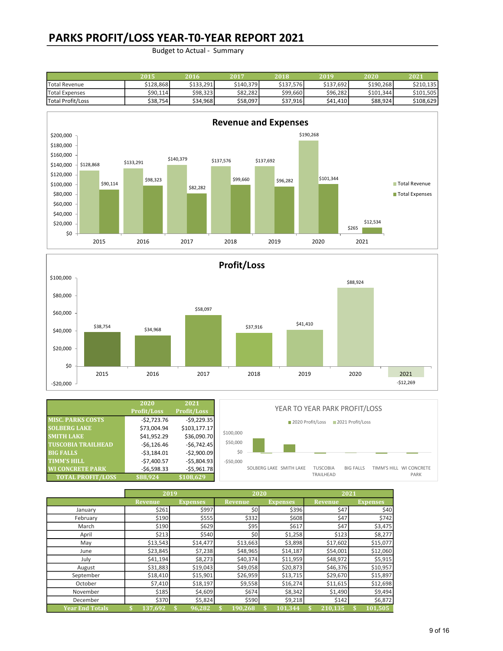### PARKS PROFIT/LOSS YEAR-T0-YEAR REPORT 2021

|                   | 2015      | 2016      | 2017      | 2018      | 2019      | 2020      | 2021      |
|-------------------|-----------|-----------|-----------|-----------|-----------|-----------|-----------|
| Total Revenue     | \$128.868 | \$133.291 | \$140.379 | \$137,576 | \$137.692 | \$190.268 | \$210.135 |
| Total Expenses    | \$90,114  | \$98.323  | \$82,282  | \$99,660  | \$96,282  | \$101.344 | \$101.505 |
| Total Profit/Loss | \$38,754  | \$34.968  | \$58,097  | \$37,916  | \$41,410  | \$88.924  | \$108.629 |





|                           | 2020<br><b>Profit/Loss</b> | 2021<br>Profit/Loss | YEAR TO YEAR PARK PROFIT/LOSS |                         |                  |                 |                  |  |                         |
|---------------------------|----------------------------|---------------------|-------------------------------|-------------------------|------------------|-----------------|------------------|--|-------------------------|
| <b>MISC. PARKS COSTS</b>  | -\$2,723.76                | $-$9,229.35$        |                               |                         | 2020 Profit/Loss |                 | 2021 Profit/Loss |  |                         |
| <b>SOLBERG LAKE</b>       | \$73,004.94                | \$103,177.17        |                               |                         |                  |                 |                  |  |                         |
| <b>SMITH LAKE</b>         | \$41,952.29                | \$36,090.70         | \$100,000                     |                         |                  |                 |                  |  |                         |
| <b>TUSCOBIA TRAILHEAD</b> | $-56,126.46$               | $-$6,742.45$        | \$50,000                      |                         |                  |                 |                  |  |                         |
| <b>BIG FALLS</b>          | $-53,184.01$               | $-$2,900.09$        | \$0                           |                         |                  |                 |                  |  |                         |
| <b>TIMM'S HILL</b>        | $-$7,400.57$               | $-$5,804.93$        | $-550.000$                    |                         |                  |                 |                  |  |                         |
| <b>WI CONCRETE PARK</b>   | $-56,598.33$               | $-$5,961.78$        |                               | SOLBERG LAKE SMITH LAKE |                  | <b>TUSCOBIA</b> | <b>BIG FALLS</b> |  | TIMM'S HILL WI CONCRETE |
| <b>TOTAL PROFIT/LOSS</b>  | \$88,924                   | \$108,629           |                               |                         |                  | TRAILHEAD       |                  |  | PARK                    |

|                        | 2019     |                 |                | 2020            | 2021           |                 |  |
|------------------------|----------|-----------------|----------------|-----------------|----------------|-----------------|--|
|                        | Revenue  | <b>Expenses</b> | <b>Revenue</b> | <b>Expenses</b> | <b>Revenue</b> | <b>Expenses</b> |  |
| January                | \$261    | \$997           | \$0            | \$396           | \$47           | \$40            |  |
| February               | \$190    | \$555           | \$332          | \$608           | \$47           | \$742           |  |
| March                  | \$190    | \$629           | \$95           | \$617           | \$47           | \$3,475         |  |
| April                  | \$213    | \$540           | \$0            | \$1,258         | \$123          | \$8,277         |  |
| May                    | \$13,543 | \$14,477        | \$13,663       | \$3,898         | \$17,602       | \$15,077        |  |
| June                   | \$23,845 | \$7,238         | \$48,965       | \$14,187        | \$54,001       | \$12,060        |  |
| July                   | \$41,194 | \$8,273         | \$40,374       | \$11,959        | \$48,972       | \$5,915         |  |
| August                 | \$31,883 | \$19,043        | \$49,058       | \$20,873        | \$46,376       | \$10,957        |  |
| September              | \$18,410 | \$15,901        | \$26,959       | \$13,715        | \$29,670       | \$15,897        |  |
| October                | \$7,410  | \$18,197        | \$9,558        | \$16,274        | \$11,615       | \$12,698        |  |
| November               | \$185    | \$4,609         | \$674          | \$8,342         | \$1,490        | \$9,494         |  |
| December               | \$370    | \$5,824         | \$590          | \$9,218         | \$142          | \$6,872         |  |
| <b>Year End Totals</b> | 137,692  | 96,282          | 190.268        | 101.344         | 210.135        | 101,505         |  |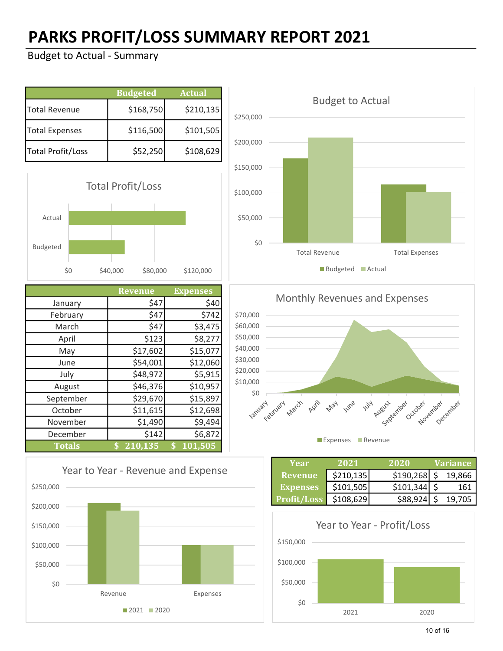# PARKS PROFIT/LOSS SUMMARY REPORT 2021

|                   | <b>Budgeted</b> | <b>Actual</b> |
|-------------------|-----------------|---------------|
| Total Revenue     | \$168,750       | \$210,135     |
| Total Expenses    | \$116,500       | \$101,505     |
| Total Profit/Loss | \$52,250        | \$108,629     |



|               | <b>Revenue</b> | <b>Expenses</b> |
|---------------|----------------|-----------------|
| January       | \$47           | \$40            |
| February      | \$47           | \$742           |
| March         | \$47           | \$3,475         |
| April         | \$123          | \$8,277         |
| May           | \$17,602       | \$15,077        |
| June          | \$54,001       | \$12,060        |
| July          | \$48,972       | \$5,915         |
| August        | \$46,376       | \$10,957        |
| September     | \$29,670       | \$15,897        |
| October       | \$11,615       | \$12,698        |
| November      | \$1,490        | \$9,494         |
| December      | \$142          | \$6,872         |
| <b>Totals</b> | 210,135<br>\$  | 101,505<br>\$   |





Monthly Revenues and Expenses



| Year               | 2021      | 2020          | <i><b>Variance</b></i> |
|--------------------|-----------|---------------|------------------------|
| <b>Revenue</b>     | \$210,135 | $$190,268$ \$ | 19,866                 |
| <b>Expenses</b>    | \$101,505 | \$101,344     | 161                    |
| <b>Profit/Loss</b> | \$108,629 | \$88,924      | 19.705                 |

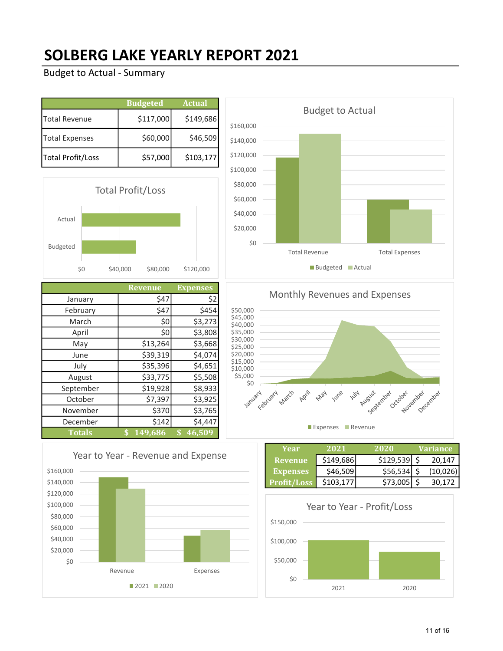### SOLBERG LAKE YEARLY REPORT 2021

#### Budget to Actual - Summary

|                       | <b>Budgeted</b> | <b>Actual</b> |
|-----------------------|-----------------|---------------|
| Total Revenue         | \$117,000       | \$149,686     |
| <b>Total Expenses</b> | \$60,000        | \$46,509      |
| Total Profit/Loss     | \$57,000        | \$103,177     |



|               | <b>Revenue</b> | Expenses                |
|---------------|----------------|-------------------------|
| January       | \$47           | \$2                     |
| February      | \$47           | \$454                   |
| March         | \$0            | \$3,273                 |
| April         | \$0            | \$3,808                 |
| May           | \$13,264       | \$3,668                 |
| June          | \$39,319       | \$4,074                 |
| July          | \$35,396       | \$4,651                 |
| August        | \$33,775       | \$5,508                 |
| September     | \$19,928       | \$8,933                 |
| October       | \$7,397        | \$3,925                 |
| November      | \$370          | \$3,765                 |
| December      | \$142          | \$4,447                 |
| <b>Totals</b> | 149,686<br>\$  | 46,509<br>$\mathbf{\$}$ |





Monthly Revenues and Expenses \$50,000 \$45,000 \$40,000 \$35,000 \$30,000 \$25,000 \$20,000 \$15,000 \$10,000 \$5,000 A Ausbist Creatives So Sandy Land April 1414 lber <sub>Novi</sub> Nover Dece **May** June December

**Expenses** Revenue

| Year               | 2021      | 2020          | <b>Variance</b> |
|--------------------|-----------|---------------|-----------------|
| Revenue            | \$149,686 | $$129,539$ \$ | 20,147          |
| <b>Expenses</b>    | \$46,509  | $$56,534$ \$  | (10,026)        |
| <b>Profit/Loss</b> | \$103,177 | $$73,005$ \$  | 30.172          |

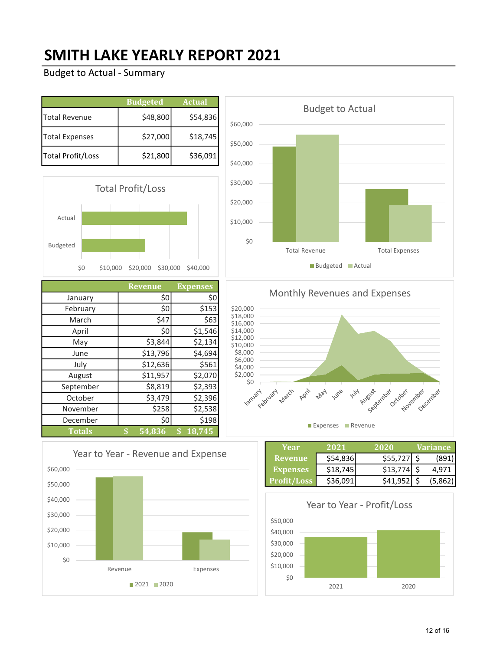## SMITH LAKE YEARLY REPORT 2021

#### Budget to Actual - Summary

|                       | <b>Budgeted</b> | <b>Actual</b> |
|-----------------------|-----------------|---------------|
| Total Revenue         | \$48,800        | \$54,836      |
| <b>Total Expenses</b> | \$27,000        | \$18,745      |
| Total Profit/Loss     | \$21,800        | \$36,091      |



|               | <b>Revenue</b> | <b>Expenses</b>   |
|---------------|----------------|-------------------|
| January       | \$0            | \$0               |
| February      | \$0            | \$153             |
| March         | \$47           | \$63              |
| April         | \$0            | \$1,546           |
| May           | \$3,844        | \$2,134           |
| June          | \$13,796       | \$4,694           |
| July          | \$12,636       | \$561             |
| August        | \$11,957       | \$2,070           |
| September     | \$8,819        | \$2,393           |
| October       | \$3,479        | \$2,396           |
| November      | \$258          | \$2,538           |
| December      | \$0            | \$198             |
| <b>Totals</b> | \$<br>54,836   | $\sqrt{2}$ 18,745 |





#### Monthly Revenues and Expenses \$20,000 \$18,000 \$16,000 \$14,000 \$12,000 \$10,000 \$8,000 \$6,000  $$4,000$ \$2,000 so January **Hut March** June **May** August enhand Croper Jenhard Cermer **Expenses Revenue**

| Year            | 2021     | 2020     | <b>Variance</b> |
|-----------------|----------|----------|-----------------|
| Revenue         | \$54,836 | \$55,727 | (891)           |
| <b>Expenses</b> | \$18,745 | \$13,774 | 4.971           |
| Profit/Loss     | \$36,091 | \$41.952 | (5,862)         |

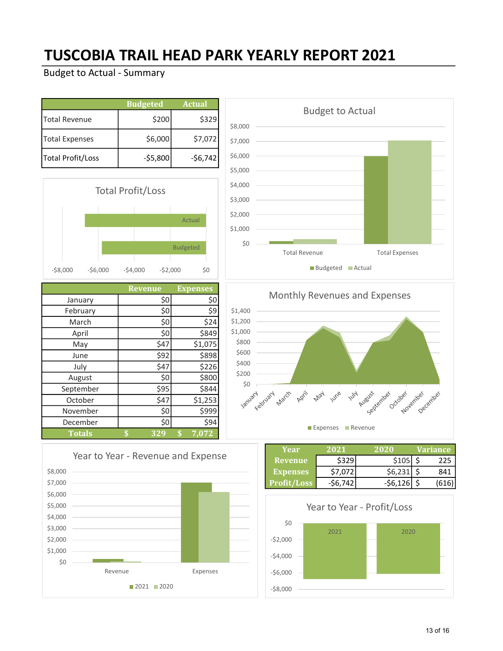### TUSCOBIA TRAIL HEAD PARK YEARLY REPORT 2021

|                   | <b>Budgeted</b> | <b>Actual</b> |
|-------------------|-----------------|---------------|
| Total Revenue     | \$200           | \$329         |
| Total Expenses    | \$6,000         | \$7,072       |
| Total Profit/Loss | $-55,800$       | $-56,742$     |



|               | <b>Revenue</b> | <b>Expenses</b> |
|---------------|----------------|-----------------|
| January       | \$0            | \$0             |
| February      | \$0            | \$9             |
| March         | \$0            | \$24            |
| April         | \$0            | \$849           |
| May           | \$47           | \$1,075         |
| June          | \$92           | \$898           |
| July          | \$47           | \$226           |
| August        | \$0            | \$800           |
| September     | \$95           | \$844           |
| October       | \$47           | \$1,253         |
| November      | \$0            | \$999           |
| December      | \$0            | \$94            |
| <b>Totals</b> | 329<br>\$      | \$<br>7,072     |





Monthly Revenues and Expenses



| Year               | 2021    | 2020      | Variance |
|--------------------|---------|-----------|----------|
| <b>Revenue</b>     | \$329   | \$105     |          |
| <b>Expenses</b>    | \$7,072 | \$6,231   | 841      |
| <b>Profit/Loss</b> | -S6.742 | $-56.126$ | 1616     |



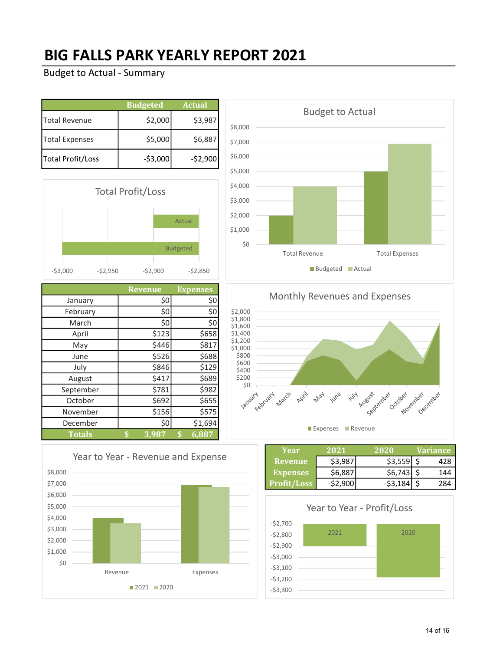### BIG FALLS PARK YEARLY REPORT 2021

|                       | <b>Budgeted</b> | <b>Actual</b> |
|-----------------------|-----------------|---------------|
| Total Revenue         | \$2,000         | \$3,987       |
| <b>Total Expenses</b> | \$5,000         | \$6,887       |
| Total Profit/Loss     | $-$ \$3,000     | $-52,900$     |



|               | <b>Revenue</b> | <b>Expenses</b> |
|---------------|----------------|-----------------|
| January       | \$0            | \$0             |
| February      | \$0            | \$0             |
| March         | \$0            | \$0             |
| April         | \$123          | \$658           |
| May           | \$446          | \$817           |
| June          | \$526          | \$688           |
| July          | \$846          | \$129           |
| August        | \$417          | \$689           |
| September     | \$781          | \$982           |
| October       | \$692          | \$655           |
| November      | \$156          | \$575           |
| December      | \$0            | \$1,694         |
| <b>Totals</b> | 3,987<br>\$    | 6,887<br>\$     |





Monthly Revenues and Expenses



| Year               | 2021    | 2020      | Variance |
|--------------------|---------|-----------|----------|
| 'Revenue           | \$3.987 | \$3,559   | 428      |
| <b>Expenses</b>    | \$6,887 | \$6,743   | 144      |
| <b>Profit/Loss</b> | -S2.900 | $-53.184$ | 284      |



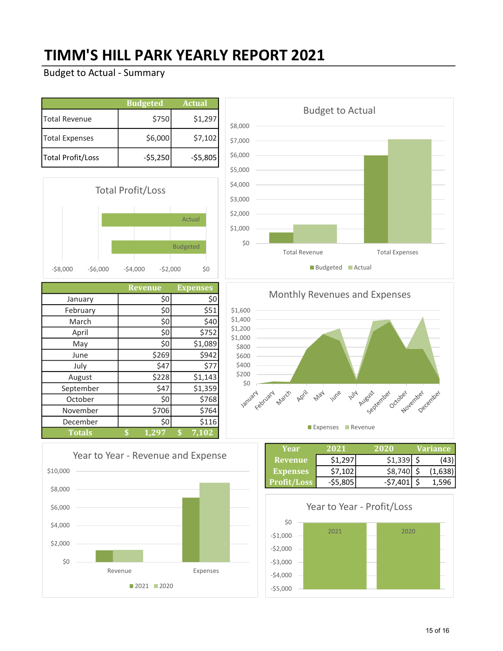### TIMM'S HILL PARK YEARLY REPORT 2021

|                       | <b>Budgeted</b> | <b>Actual</b> |
|-----------------------|-----------------|---------------|
| Total Revenue         | \$750           | \$1,297       |
| <b>Total Expenses</b> | \$6,000         | \$7,102       |
| Total Profit/Loss     | $-55,250$       | $-55,805$     |



|               | <b>Revenue</b> | <b>Expenses</b> |
|---------------|----------------|-----------------|
| January       | \$0            | \$0             |
| February      | \$0            | \$51            |
| March         | \$0            | \$40            |
| April         | \$0            | \$752           |
| May           | \$0            | \$1,089         |
| June          | \$269          | \$942           |
| July          | \$47           | \$77            |
| August        | \$228          | \$1,143         |
| September     | \$47           | \$1,359         |
| October       | \$0            | \$768           |
| November      | \$706          | \$764           |
| December      | \$0            | \$116           |
| <b>Totals</b> | 1,297<br>\$    | \$<br>7,102     |





Monthly Revenues and Expenses



| Year               | 2021      | 2020      | Variance |
|--------------------|-----------|-----------|----------|
| <b>Revenue</b>     | \$1.297   | \$1,339   |          |
| <b>Expenses</b>    | \$7,102   | \$8,740   | (1,638)  |
| <b>Profit/Loss</b> | $-55,805$ | $-57,401$ | 1.596    |